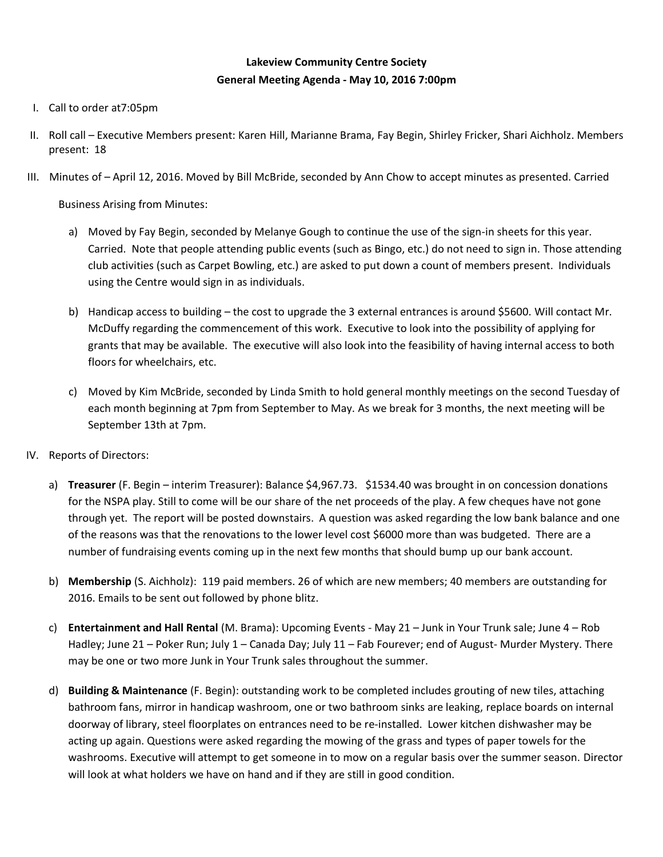## **Lakeview Community Centre Society General Meeting Agenda - May 10, 2016 7:00pm**

- I. Call to order at7:05pm
- II. Roll call Executive Members present: Karen Hill, Marianne Brama, Fay Begin, Shirley Fricker, Shari Aichholz. Members present: 18
- III. Minutes of April 12, 2016. Moved by Bill McBride, seconded by Ann Chow to accept minutes as presented. Carried

Business Arising from Minutes:

- a) Moved by Fay Begin, seconded by Melanye Gough to continue the use of the sign-in sheets for this year. Carried. Note that people attending public events (such as Bingo, etc.) do not need to sign in. Those attending club activities (such as Carpet Bowling, etc.) are asked to put down a count of members present. Individuals using the Centre would sign in as individuals.
- b) Handicap access to building the cost to upgrade the 3 external entrances is around \$5600. Will contact Mr. McDuffy regarding the commencement of this work. Executive to look into the possibility of applying for grants that may be available. The executive will also look into the feasibility of having internal access to both floors for wheelchairs, etc.
- c) Moved by Kim McBride, seconded by Linda Smith to hold general monthly meetings on the second Tuesday of each month beginning at 7pm from September to May. As we break for 3 months, the next meeting will be September 13th at 7pm.
- IV. Reports of Directors:
	- a) **Treasurer** (F. Begin interim Treasurer): Balance \$4,967.73. \$1534.40 was brought in on concession donations for the NSPA play. Still to come will be our share of the net proceeds of the play. A few cheques have not gone through yet. The report will be posted downstairs. A question was asked regarding the low bank balance and one of the reasons was that the renovations to the lower level cost \$6000 more than was budgeted. There are a number of fundraising events coming up in the next few months that should bump up our bank account.
	- b) **Membership** (S. Aichholz): 119 paid members. 26 of which are new members; 40 members are outstanding for 2016. Emails to be sent out followed by phone blitz.
	- c) **Entertainment and Hall Rental** (M. Brama): Upcoming Events May 21 Junk in Your Trunk sale; June 4 Rob Hadley; June 21 – Poker Run; July 1 – Canada Day; July 11 – Fab Fourever; end of August- Murder Mystery. There may be one or two more Junk in Your Trunk sales throughout the summer.
	- d) **Building & Maintenance** (F. Begin): outstanding work to be completed includes grouting of new tiles, attaching bathroom fans, mirror in handicap washroom, one or two bathroom sinks are leaking, replace boards on internal doorway of library, steel floorplates on entrances need to be re-installed. Lower kitchen dishwasher may be acting up again. Questions were asked regarding the mowing of the grass and types of paper towels for the washrooms. Executive will attempt to get someone in to mow on a regular basis over the summer season. Director will look at what holders we have on hand and if they are still in good condition.